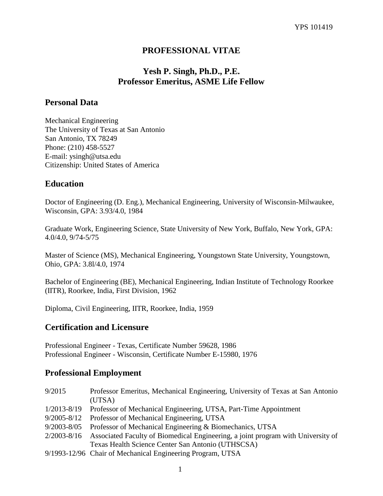## **PROFESSIONAL VITAE**

## **Yesh P. Singh, Ph.D., P.E. Professor Emeritus, ASME Life Fellow**

## **Personal Data**

Mechanical Engineering The University of Texas at San Antonio San Antonio, TX 78249 Phone: (210) 458-5527 E-mail: ysingh@utsa.edu Citizenship: United States of America

## **Education**

Doctor of Engineering (D. Eng.), Mechanical Engineering, University of Wisconsin-Milwaukee, Wisconsin, GPA: 3.93/4.0, 1984

Graduate Work, Engineering Science, State University of New York, Buffalo, New York, GPA: 4.0/4.0, 9/74-5/75

Master of Science (MS), Mechanical Engineering, Youngstown State University, Youngstown, Ohio, GPA: 3.8l/4.0, 1974

Bachelor of Engineering (BE), Mechanical Engineering, Indian Institute of Technology Roorkee (IITR), Roorkee, India, First Division, 1962

Diploma, Civil Engineering, IITR, Roorkee, India, 1959

#### **Certification and Licensure**

Professional Engineer - Texas, Certificate Number 59628, 1986 Professional Engineer - Wisconsin, Certificate Number E-15980, 1976

#### **Professional Employment**

| 9/2015          | Professor Emeritus, Mechanical Engineering, University of Texas at San Antonio   |
|-----------------|----------------------------------------------------------------------------------|
|                 | (UTSA)                                                                           |
| $1/2013 - 8/19$ | Professor of Mechanical Engineering, UTSA, Part-Time Appointment                 |
| $9/2005 - 8/12$ | Professor of Mechanical Engineering, UTSA                                        |
| $9/2003 - 8/05$ | Professor of Mechanical Engineering & Biomechanics, UTSA                         |
| $2/2003 - 8/16$ | Associated Faculty of Biomedical Engineering, a joint program with University of |
|                 | Texas Health Science Center San Antonio (UTHSCSA)                                |
|                 | 9/1993-12/96 Chair of Mechanical Engineering Program, UTSA                       |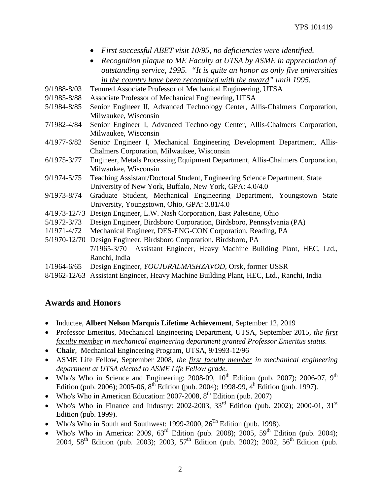- *First successful ABET visit 10/95, no deficiencies were identified.*
- *Recognition plaque to ME Faculty at UTSA by ASME in appreciation of outstanding service, 1995. "It is quite an honor as only five universities in the country have been recognized with the award" until 1995.*
- 9/1988-8/03 Tenured Associate Professor of Mechanical Engineering, UTSA
- 9/1985-8/88 Associate Professor of Mechanical Engineering, UTSA
- 5/1984-8/85 Senior Engineer II, Advanced Technology Center, Allis-Chalmers Corporation, Milwaukee, Wisconsin
- 7/1982-4/84 Senior Engineer I, Advanced Technology Center, Allis-Chalmers Corporation, Milwaukee, Wisconsin
- 4/1977-6/82 Senior Engineer I, Mechanical Engineering Development Department, Allis-Chalmers Corporation, Milwaukee, Wisconsin
- 6/1975-3/77 Engineer, Metals Processing Equipment Department, Allis-Chalmers Corporation, Milwaukee, Wisconsin
- 9/1974-5/75 Teaching Assistant/Doctoral Student, Engineering Science Department, State University of New York, Buffalo, New York, GPA: 4.0/4.0
- 9/1973-8/74 Graduate Student, Mechanical Engineering Department, Youngstown State University, Youngstown, Ohio, GPA: 3.81/4.0
- 4/1973-12/73 Design Engineer, L.W. Nash Corporation, East Palestine, Ohio
- 5/1972-3/73 Design Engineer, Birdsboro Corporation, Birdsboro, Pennsylvania (PA)
- 1/1971-4/72 Mechanical Engineer, DES-ENG-CON Corporation, Reading, PA
- 5/1970-12/70 Design Engineer, Birdsboro Corporation, Birdsboro, PA 7/1965-3/70 Assistant Engineer, Heavy Machine Building Plant, HEC, Ltd., Ranchi, India
- 1/1964-6/65 Design Engineer, *YOUJURALMASHZAVOD,* Orsk, former USSR
- 8/1962-12/63 Assistant Engineer, Heavy Machine Building Plant, HEC, Ltd., Ranchi, India

#### **Awards and Honors**

- Inductee, **Albert Nelson Marquis Lifetime Achievement**, September 12, 2019
- Professor Emeritus, Mechanical Engineering Department, UTSA, September 2015, *the first faculty member in mechanical engineering department granted Professor Emeritus status.*
- **Chair**, Mechanical Engineering Program, UTSA, 9/1993-12/96
- ASME Life Fellow, September 2008, *the first faculty member in mechanical engineering department at UTSA elected to ASME Life Fellow grade.*
- Who's Who in Science and Engineering: 2008-09,  $10^{th}$  Edition (pub. 2007); 2006-07, 9<sup>th</sup> Edition (pub. 2006); 2005-06,  $8^{th}$  Edition (pub. 2004); 1998-99,  $4^{th}$  Edition (pub. 1997).
- Who's Who in American Education:  $2007-2008$ ,  $8^{th}$  Edition (pub. 2007)
- Who's Who in Finance and Industry: 2002-2003,  $33<sup>rd</sup>$  Edition (pub. 2002); 2000-01,  $31<sup>st</sup>$ Edition (pub. 1999).
- Who's Who in South and Southwest: 1999-2000,  $26^{Th}$  Edition (pub. 1998).
- Who's Who in America: 2009,  $63^{\text{rd}}$  Edition (pub. 2008); 2005,  $59^{\text{th}}$  Edition (pub. 2004); 2004, 58<sup>th</sup> Edition (pub. 2003); 2003, 57<sup>th</sup> Edition (pub. 2002); 2002, 56<sup>th</sup> Edition (pub.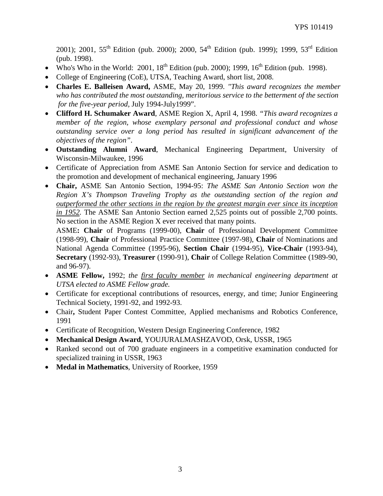2001); 2001, 55<sup>th</sup> Edition (pub. 2000); 2000, 54<sup>th</sup> Edition (pub. 1999); 1999, 53<sup>rd</sup> Edition (pub. 1998).

- Who's Who in the World: 2001,  $18^{th}$  Edition (pub. 2000); 1999,  $16^{th}$  Edition (pub. 1998).
- College of Engineering (CoE), UTSA, Teaching Award, short list, 2008.
- **Charles E. Balleisen Award,** ASME, May 20, 1999. *"This award recognizes the member who has contributed the most outstanding, meritorious service to the betterment of the section for the five-year period,* July 1994-July1999".
- **Clifford H. Schumaker Award**, ASME Region X, April 4, 1998. *"This award recognizes a member of the region, whose exemplary personal and professional conduct and whose outstanding service over a long period has resulted in significant advancement of the objectives of the region"*.
- **Outstanding Alumni Award**, Mechanical Engineering Department, University of Wisconsin-Milwaukee, 1996
- Certificate of Appreciation from ASME San Antonio Section for service and dedication to the promotion and development of mechanical engineering, January 1996
- **Chair,** ASME San Antonio Section, 1994-95: *The ASME San Antonio Section won the Region X's Thompson Traveling Trophy as the outstanding section of the region and outperformed the other sections in the region by the greatest margin ever since its inception in 1952.* The ASME San Antonio Section earned 2,525 points out of possible 2,700 points. No section in the ASME Region X ever received that many points.

ASME**: Chair** of Programs (1999-00), **Chair** of Professional Development Committee (1998-99), **Chair** of Professional Practice Committee (1997-98), **Chair** of Nominations and National Agenda Committee (1995-96), **Section Chair** (1994-95), **Vice-Chair** (1993-94), **Secretary** (1992-93), **Treasurer** (1990-91), **Chair** of College Relation Committee (1989-90, and 96-97).

- **ASME Fellow,** 1992; *the first faculty member in mechanical engineering department at UTSA elected to ASME Fellow grade.*
- Certificate for exceptional contributions of resources, energy, and time; Junior Engineering Technical Society, 1991-92, and 1992-93.
- Chair**,** Student Paper Contest Committee, Applied mechanisms and Robotics Conference, 1991
- Certificate of Recognition, Western Design Engineering Conference, 1982
- **Mechanical Design Award**, YOUJURALMASHZAVOD, Orsk, USSR, 1965
- Ranked second out of 700 graduate engineers in a competitive examination conducted for specialized training in USSR, 1963
- **Medal in Mathematics**, University of Roorkee, 1959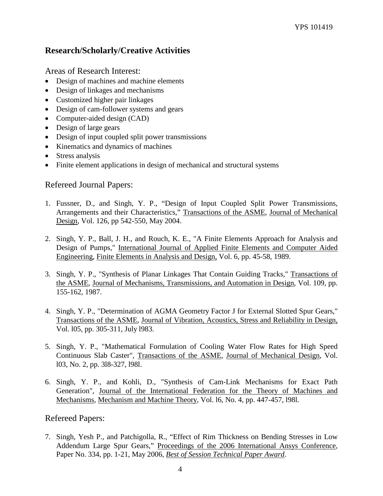## **Research/Scholarly/Creative Activities**

Areas of Research Interest:

- Design of machines and machine elements
- Design of linkages and mechanisms
- Customized higher pair linkages
- Design of cam-follower systems and gears
- Computer-aided design (CAD)
- Design of large gears
- Design of input coupled split power transmissions
- Kinematics and dynamics of machines
- Stress analysis
- Finite element applications in design of mechanical and structural systems

## Refereed Journal Papers:

- 1. Fussner, D., and Singh, Y. P., "Design of Input Coupled Split Power Transmissions, Arrangements and their Characteristics," Transactions of the ASME, Journal of Mechanical Design, Vol. 126, pp 542-550, May 2004.
- 2. Singh, Y. P., Ball, J. H., and Rouch, K. E., "A Finite Elements Approach for Analysis and Design of Pumps," International Journal of Applied Finite Elements and Computer Aided Engineering, Finite Elements in Analysis and Design, Vol. 6, pp. 45-58, 1989.
- 3. Singh, Y. P., "Synthesis of Planar Linkages That Contain Guiding Tracks," Transactions of the ASME, Journal of Mechanisms, Transmissions, and Automation in Design, Vol. 109, pp. 155-162, 1987.
- 4. Singh, Y. P., "Determination of AGMA Geometry Factor J for External Slotted Spur Gears," Transactions of the ASME, Journal of Vibration, Acoustics, Stress and Reliability in Design, Vol. l05, pp. 305-311, July l983.
- 5. Singh, Y. P., "Mathematical Formulation of Cooling Water Flow Rates for High Speed Continuous Slab Caster", Transactions of the ASME, Journal of Mechanical Design, Vol. l03, No. 2, pp. 3l8-327, l98l.
- 6. Singh, Y. P., and Kohli, D., "Synthesis of Cam-Link Mechanisms for Exact Path Generation", Journal of the International Federation for the Theory of Machines and Mechanisms, Mechanism and Machine Theory, Vol. l6, No. 4, pp. 447-457, l98l.

Refereed Papers:

7. Singh, Yesh P., and Patchigolla, R., "Effect of Rim Thickness on Bending Stresses in Low Addendum Large Spur Gears," Proceedings of the 2006 International Ansys Conference, Paper No. 334, pp. 1-21, May 2006, *Best of Session Technical Paper Award*.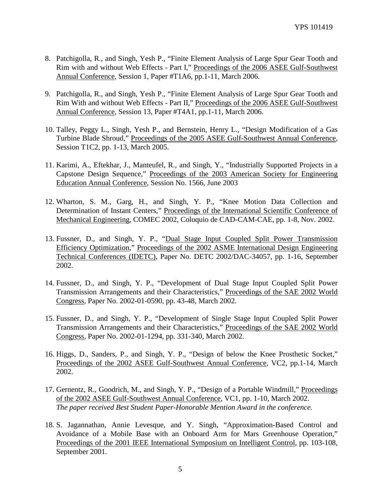- 8. Patchigolla, R., and Singh, Yesh P., "Finite Element Analysis of Large Spur Gear Tooth and Rim with and without Web Effects - Part I," Proceedings of the 2006 ASEE Gulf-Southwest Annual Conference, Session 1, Paper #T1A6, pp.1-11, March 2006.
- 9. Patchigolla, R., and Singh, Yesh P., "Finite Element Analysis of Large Spur Gear Tooth and Rim With and without Web Effects - Part II," Proceedings of the 2006 ASEE Gulf-Southwest Annual Conference, Session 13, Paper #T4A1, pp.1-11, March 2006.
- 10. Talley, Peggy L., Singh, Yesh P., and Bernstein, Henry L., "Design Modification of a Gas Turbine Blade Shroud," Proceedings of the 2005 ASEE Gulf-Southwest Annual Conference, Session T1C2, pp. 1-13, March 2005.
- 11. Karimi, A., Eftekhar, J., Manteufel, R., and Singh, Y., "Industrially Supported Projects in a Capstone Design Sequence," Proceedings of the 2003 American Society for Engineering Education Annual Conference, Session No. 1566, June 2003
- 12. Wharton, S. M., Garg, H., and Singh, Y. P., "Knee Motion Data Collection and Determination of Instant Centers," Proceedings of the International Scientific Conference of Mechanical Engineering, COMEC 2002, Coloquio de CAD-CAM-CAE, pp. 1-8, Nov. 2002.
- 13. Fussner, D., and Singh, Y. P., "Dual Stage Input Coupled Split Power Transmission Efficiency Optimization," Proceedings of the 2002 ASME International Design Engineering Technical Conferences (IDETC), Paper No. DETC 2002/DAC-34057, pp. 1-16, September 2002.
- 14. Fussner, D., and Singh, Y. P., "Development of Dual Stage Input Coupled Split Power Transmission Arrangements and their Characteristics," Proceedings of the SAE 2002 World Congress, Paper No. 2002-01-0590, pp. 43-48, March 2002.
- 15. Fussner, D., and Singh, Y. P., "Development of Single Stage Input Coupled Split Power Transmission Arrangements and their Characteristics," Proceedings of the SAE 2002 World Congress, Paper No. 2002-01-1294, pp. 331-340, March 2002.
- 16. Higgs, D., Sanders, P., and Singh, Y. P., "Design of below the Knee Prosthetic Socket," Proceedings of the 2002 ASEE Gulf-Southwest Annual Conference, VC2, pp.1-14, March 2002.
- 17. Gernentz, R., Goodrich, M., and Singh, Y. P., "Design of a Portable Windmill," Proceedings of the 2002 ASEE Gulf-Southwest Annual Conference, VC1, pp. 1-10, March 2002. *The paper received Best Student Paper-Honorable Mention Award in the conference.*
- 18. S. Jagannathan, Annie Levesque, and Y. Singh, "Approximation-Based Control and Avoidance of a Mobile Base with an Onboard Arm for Mars Greenhouse Operation," Proceedings of the 2001 IEEE International Symposium on Intelligent Control, pp. 103-108, September 2001.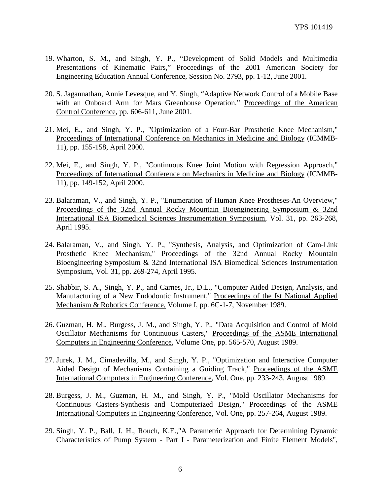- 19. Wharton, S. M., and Singh, Y. P., "Development of Solid Models and Multimedia Presentations of Kinematic Pairs," Proceedings of the 2001 American Society for Engineering Education Annual Conference, Session No. 2793, pp. 1-12, June 2001.
- 20. S. Jagannathan, Annie Levesque, and Y. Singh, "Adaptive Network Control of a Mobile Base with an Onboard Arm for Mars Greenhouse Operation," Proceedings of the American Control Conference, pp. 606-611, June 2001.
- 21. Mei, E., and Singh, Y. P., "Optimization of a Four-Bar Prosthetic Knee Mechanism," Proceedings of International Conference on Mechanics in Medicine and Biology (ICMMB-11), pp. 155-158, April 2000.
- 22. Mei, E., and Singh, Y. P., "Continuous Knee Joint Motion with Regression Approach," Proceedings of International Conference on Mechanics in Medicine and Biology (ICMMB-11), pp. 149-152, April 2000.
- 23. Balaraman, V., and Singh, Y. P., "Enumeration of Human Knee Prostheses-An Overview," Proceedings of the 32nd Annual Rocky Mountain Bioengineering Symposium & 32nd International ISA Biomedical Sciences Instrumentation Symposium, Vol. 31, pp. 263-268, April 1995.
- 24. Balaraman, V., and Singh, Y. P., "Synthesis, Analysis, and Optimization of Cam-Link Prosthetic Knee Mechanism," Proceedings of the 32nd Annual Rocky Mountain Bioengineering Symposium & 32nd International ISA Biomedical Sciences Instrumentation Symposium, Vol. 31, pp. 269-274, April 1995.
- 25. Shabbir, S. A., Singh, Y. P., and Carnes, Jr., D.L., "Computer Aided Design, Analysis, and Manufacturing of a New Endodontic Instrument," Proceedings of the Ist National Applied Mechanism & Robotics Conference, Volume I, pp. 6C-1-7, November 1989.
- 26. Guzman, H. M., Burgess, J. M., and Singh, Y. P., "Data Acquisition and Control of Mold Oscillator Mechanisms for Continuous Casters," Proceedings of the ASME International Computers in Engineering Conference, Volume One, pp. 565-570, August 1989.
- 27. Jurek, J. M., Cimadevilla, M., and Singh, Y. P., "Optimization and Interactive Computer Aided Design of Mechanisms Containing a Guiding Track," Proceedings of the ASME International Computers in Engineering Conference, Vol. One, pp. 233-243, August 1989.
- 28. Burgess, J. M., Guzman, H. M., and Singh, Y. P., "Mold Oscillator Mechanisms for Continuous Casters-Synthesis and Computerized Design," Proceedings of the ASME International Computers in Engineering Conference, Vol. One, pp. 257-264, August 1989.
- 29. Singh, Y. P., Ball, J. H., Rouch, K.E.,"A Parametric Approach for Determining Dynamic Characteristics of Pump System - Part I - Parameterization and Finite Element Models",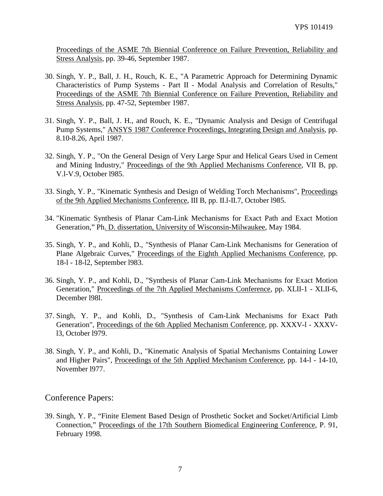Proceedings of the ASME 7th Biennial Conference on Failure Prevention, Reliability and Stress Analysis, pp. 39-46, September 1987.

- 30. Singh, Y. P., Ball, J. H., Rouch, K. E., "A Parametric Approach for Determining Dynamic Characteristics of Pump Systems - Part II - Modal Analysis and Correlation of Results," Proceedings of the ASME 7th Biennial Conference on Failure Prevention, Reliability and Stress Analysis, pp. 47-52, September 1987.
- 31. Singh, Y. P., Ball, J. H., and Rouch, K. E., "Dynamic Analysis and Design of Centrifugal Pump Systems," ANSYS 1987 Conference Proceedings, Integrating Design and Analysis, pp. 8.10-8.26, April 1987.
- 32. Singh, Y. P., "On the General Design of Very Large Spur and Helical Gears Used in Cement and Mining Industry," Proceedings of the 9th Applied Mechanisms Conference, VII B, pp. V.l-V.9, October l985.
- 33. Singh, Y. P., "Kinematic Synthesis and Design of Welding Torch Mechanisms", Proceedings of the 9th Applied Mechanisms Conference, III B, pp. II.l-II.7, October l985.
- 34. "Kinematic Synthesis of Planar Cam-Link Mechanisms for Exact Path and Exact Motion Generation," Ph. D. dissertation, University of Wisconsin-Milwaukee, May 1984.
- 35. Singh, Y. P., and Kohli, D., "Synthesis of Planar Cam-Link Mechanisms for Generation of Plane Algebraic Curves," Proceedings of the Eighth Applied Mechanisms Conference, pp. 18-l - 18-l2, September l983.
- 36. Singh, Y. P., and Kohli, D., "Synthesis of Planar Cam-Link Mechanisms for Exact Motion Generation," Proceedings of the 7th Applied Mechanisms Conference, pp. XLII-1 - XLII-6, December l98l.
- 37. Singh, Y. P., and Kohli, D., "Synthesis of Cam-Link Mechanisms for Exact Path Generation", Proceedings of the 6th Applied Mechanism Conference, pp. XXXV-l - XXXVl3, October l979.
- 38. Singh, Y. P., and Kohli, D., "Kinematic Analysis of Spatial Mechanisms Containing Lower and Higher Pairs", Proceedings of the 5th Applied Mechanism Conference, pp. 14-l - 14-10, November l977.

Conference Papers:

39. Singh, Y. P., "Finite Element Based Design of Prosthetic Socket and Socket/Artificial Limb Connection," Proceedings of the 17th Southern Biomedical Engineering Conference, P. 91, February 1998.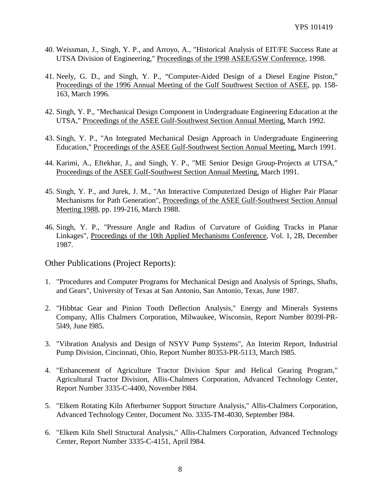- 40. Weissman, J., Singh, Y. P., and Arroyo, A., "Historical Analysis of EIT/FE Success Rate at UTSA Division of Engineering," Proceedings of the 1998 ASEE/GSW Conference, 1998.
- 41. Neely, G. D., and Singh, Y. P., "Computer-Aided Design of a Diesel Engine Piston," Proceedings of the 1996 Annual Meeting of the Gulf Southwest Section of ASEE, pp. 158- 163, March 1996.
- 42. Singh, Y. P., "Mechanical Design Component in Undergraduate Engineering Education at the UTSA," Proceedings of the ASEE Gulf-Southwest Section Annual Meeting, March 1992.
- 43. Singh, Y. P., "An Integrated Mechanical Design Approach in Undergraduate Engineering Education," Proceedings of the ASEE Gulf-Southwest Section Annual Meeting, March 1991.
- 44. Karimi, A., Eftekhar, J., and Singh, Y. P., "ME Senior Design Group-Projects at UTSA," Proceedings of the ASEE Gulf-Southwest Section Annual Meeting, March 1991.
- 45. Singh, Y. P., and Jurek, J. M., "An Interactive Computerized Design of Higher Pair Planar Mechanisms for Path Generation", Proceedings of the ASEE Gulf-Southwest Section Annual Meeting 1988, pp. 199-216, March 1988.
- 46. Singh, Y. P., "Pressure Angle and Radius of Curvature of Guiding Tracks in Planar Linkages", Proceedings of the 10th Applied Mechanisms Conference, Vol. 1, 2B, December 1987.

Other Publications (Project Reports):

- 1. "Procedures and Computer Programs for Mechanical Design and Analysis of Springs, Shafts, and Gears", University of Texas at San Antonio, San Antonio, Texas, June 1987.
- 2. "Hibbtac Gear and Pinion Tooth Deflection Analysis," Energy and Minerals Systems Company, Allis Chalmers Corporation, Milwaukee, Wisconsin, Report Number 8039l-PR-5l49, June l985.
- 3. "Vibration Analysis and Design of NSYV Pump Systems", An Interim Report, Industrial Pump Division, Cincinnati, Ohio, Report Number 80353-PR-5113, March l985.
- 4. "Enhancement of Agriculture Tractor Division Spur and Helical Gearing Program," Agricultural Tractor Division, Allis-Chalmers Corporation, Advanced Technology Center, Report Number 3335-C-4400, November l984.
- 5. "Elkem Rotating Kiln Afterburner Support Structure Analysis," Allis-Chalmers Corporation, Advanced Technology Center, Document No. 3335-TM-4030, September l984.
- 6. "Elkem Kiln Shell Structural Analysis," Allis-Chalmers Corporation, Advanced Technology Center, Report Number 3335-C-4151, April l984.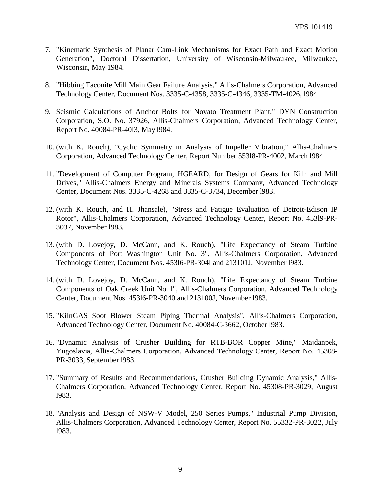- 7. "Kinematic Synthesis of Planar Cam-Link Mechanisms for Exact Path and Exact Motion Generation", Doctoral Dissertation, University of Wisconsin-Milwaukee, Milwaukee, Wisconsin, May 1984.
- 8. "Hibbing Taconite Mill Main Gear Failure Analysis," Allis-Chalmers Corporation, Advanced Technology Center, Document Nos. 3335-C-4358, 3335-C-4346, 3335-TM-4026, l984.
- 9. Seismic Calculations of Anchor Bolts for Novato Treatment Plant," DYN Construction Corporation, S.O. No. 37926, Allis-Chalmers Corporation, Advanced Technology Center, Report No. 40084-PR-40l3, May l984.
- 10. (with K. Rouch), "Cyclic Symmetry in Analysis of Impeller Vibration," Allis-Chalmers Corporation, Advanced Technology Center, Report Number 553l8-PR-4002, March l984.
- 11. "Development of Computer Program, HGEARD, for Design of Gears for Kiln and Mill Drives," Allis-Chalmers Energy and Minerals Systems Company, Advanced Technology Center, Document Nos. 3335-C-4268 and 3335-C-3734, December l983.
- 12. (with K. Rouch, and H. Jhansale), "Stress and Fatigue Evaluation of Detroit-Edison IP Rotor", Allis-Chalmers Corporation, Advanced Technology Center, Report No. 453l9-PR-3037, November l983.
- 13. (with D. Lovejoy, D. McCann, and K. Rouch), "Life Expectancy of Steam Turbine Components of Port Washington Unit No. 3", Allis-Chalmers Corporation, Advanced Technology Center, Document Nos. 453l6-PR-304l and 213101J, November l983.
- 14. (with D. Lovejoy, D. McCann, and K. Rouch), "Life Expectancy of Steam Turbine Components of Oak Creek Unit No. l", Allis-Chalmers Corporation, Advanced Technology Center, Document Nos. 453l6-PR-3040 and 213100J, November l983.
- 15. "KilnGAS Soot Blower Steam Piping Thermal Analysis", Allis-Chalmers Corporation, Advanced Technology Center, Document No. 40084-C-3662, October l983.
- 16. "Dynamic Analysis of Crusher Building for RTB-BOR Copper Mine," Majdanpek, Yugoslavia, Allis-Chalmers Corporation, Advanced Technology Center, Report No. 45308- PR-3033, September l983.
- 17. "Summary of Results and Recommendations, Crusher Building Dynamic Analysis," Allis-Chalmers Corporation, Advanced Technology Center, Report No. 45308-PR-3029, August l983.
- 18. "Analysis and Design of NSW-V Model, 250 Series Pumps," Industrial Pump Division, Allis-Chalmers Corporation, Advanced Technology Center, Report No. 55332-PR-3022, July l983.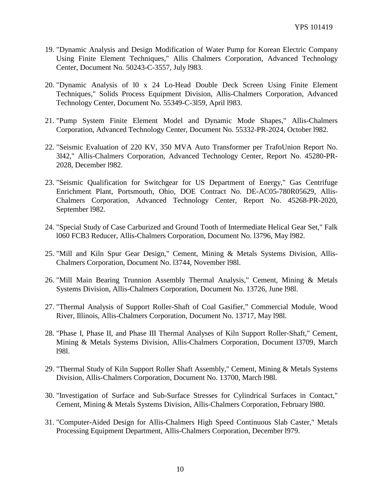- 19. "Dynamic Analysis and Design Modification of Water Pump for Korean Electric Company Using Finite Element Techniques," Allis Chalmers Corporation, Advanced Technology Center, Document No. 50243-C-3557, July l983.
- 20. "Dynamic Analysis of l0 x 24 Lo-Head Double Deck Screen Using Finite Element Techniques," Solids Process Equipment Division, Allis-Chalmers Corporation, Advanced Technology Center, Document No. 55349-C-3l59, April l983.
- 21. "Pump System Finite Element Model and Dynamic Mode Shapes," Allis-Chalmers Corporation, Advanced Technology Center, Document No. 55332-PR-2024, October l982.
- 22. "Seismic Evaluation of 220 KV, 350 MVA Auto Transformer per TrafoUnion Report No. 3l42," Allis-Chalmers Corporation, Advanced Technology Center, Report No. 45280-PR-2028, December l982.
- 23. "Seismic Qualification for Switchgear for US Department of Energy," Gas Centrifuge Enrichment Plant, Portsmouth, Ohio, DOE Contract No. DE-AC05-780R05629, Allis-Chalmers Corporation, Advanced Technology Center, Report No. 45268-PR-2020, September l982.
- 24. "Special Study of Case Carburized and Ground Tooth of Intermediate Helical Gear Set," Falk l060 FCB3 Reducer, Allis-Chalmers Corporation, Document No. l3796, May l982.
- 25. "Mill and Kiln Spur Gear Design," Cement, Mining & Metals Systems Division, Allis-Chalmers Corporation, Document No. l3744, November l98l.
- 26. "Mill Main Bearing Trunnion Assembly Thermal Analysis," Cement, Mining & Metals Systems Division, Allis-Chalmers Corporation, Document No. 13726, June l98l.
- 27. "Thermal Analysis of Support Roller-Shaft of Coal Gasifier," Commercial Module, Wood River, Illinois, Allis-Chalmers Corporation, Document No. 13717, May l98l.
- 28. "Phase I, Phase II, and Phase III Thermal Analyses of Kiln Support Roller-Shaft," Cement, Mining & Metals Systems Division, Allis-Chalmers Corporation, Document l3709, March l98l.
- 29. "Thermal Study of Kiln Support Roller Shaft Assembly," Cement, Mining & Metals Systems Division, Allis-Chalmers Corporation, Document No. 13700, March l98l.
- 30. "Investigation of Surface and Sub-Surface Stresses for Cylindrical Surfaces in Contact," Cement, Mining & Metals Systems Division, Allis-Chalmers Corporation, February l980.
- 31. "Computer-Aided Design for Allis-Chalmers High Speed Continuous Slab Caster," Metals Processing Equipment Department, Allis-Chalmers Corporation, December l979.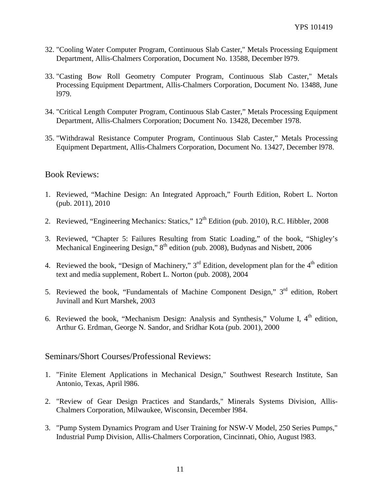- 32. "Cooling Water Computer Program, Continuous Slab Caster," Metals Processing Equipment Department, Allis-Chalmers Corporation, Document No. 13588, December l979.
- 33. "Casting Bow Roll Geometry Computer Program, Continuous Slab Caster," Metals Processing Equipment Department, Allis-Chalmers Corporation, Document No. 13488, June l979.
- 34. "Critical Length Computer Program, Continuous Slab Caster," Metals Processing Equipment Department, Allis-Chalmers Corporation; Document No. 13428, December 1978.
- 35. "Withdrawal Resistance Computer Program, Continuous Slab Caster," Metals Processing Equipment Department, Allis-Chalmers Corporation, Document No. 13427, December l978.

#### Book Reviews:

- 1. Reviewed, "Machine Design: An Integrated Approach," Fourth Edition, Robert L. Norton (pub. 2011), 2010
- 2. Reviewed, "Engineering Mechanics: Statics,"  $12^{th}$  Edition (pub. 2010), R.C. Hibbler, 2008
- 3. Reviewed, "Chapter 5: Failures Resulting from Static Loading," of the book, "Shigley's Mechanical Engineering Design," 8<sup>th</sup> edition (pub. 2008), Budynas and Nisbett, 2006
- 4. Reviewed the book, "Design of Machinery,"  $3<sup>rd</sup>$  Edition, development plan for the 4<sup>th</sup> edition text and media supplement, Robert L. Norton (pub. 2008), 2004
- 5. Reviewed the book, "Fundamentals of Machine Component Design," 3rd edition, Robert Juvinall and Kurt Marshek, 2003
- 6. Reviewed the book, "Mechanism Design: Analysis and Synthesis," Volume I,  $4<sup>th</sup>$  edition, Arthur G. Erdman, George N. Sandor, and Sridhar Kota (pub. 2001), 2000

#### Seminars/Short Courses/Professional Reviews:

- 1. "Finite Element Applications in Mechanical Design," Southwest Research Institute, San Antonio, Texas, April l986.
- 2. "Review of Gear Design Practices and Standards," Minerals Systems Division, Allis-Chalmers Corporation, Milwaukee, Wisconsin, December l984.
- 3. "Pump System Dynamics Program and User Training for NSW-V Model, 250 Series Pumps," Industrial Pump Division, Allis-Chalmers Corporation, Cincinnati, Ohio, August l983.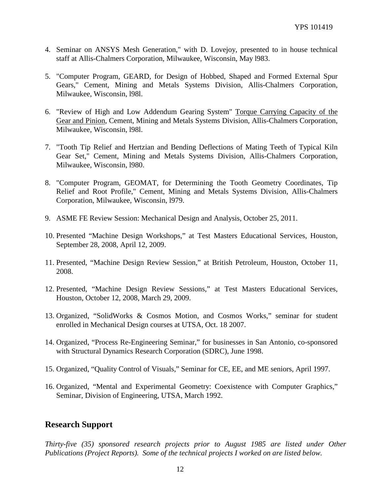- 4. Seminar on ANSYS Mesh Generation," with D. Lovejoy, presented to in house technical staff at Allis-Chalmers Corporation, Milwaukee, Wisconsin, May l983.
- 5. "Computer Program, GEARD, for Design of Hobbed, Shaped and Formed External Spur Gears," Cement, Mining and Metals Systems Division, Allis-Chalmers Corporation, Milwaukee, Wisconsin, l98l.
- 6. "Review of High and Low Addendum Gearing System" Torque Carrying Capacity of the Gear and Pinion, Cement, Mining and Metals Systems Division, Allis-Chalmers Corporation, Milwaukee, Wisconsin, l98l.
- 7. "Tooth Tip Relief and Hertzian and Bending Deflections of Mating Teeth of Typical Kiln Gear Set," Cement, Mining and Metals Systems Division, Allis-Chalmers Corporation, Milwaukee, Wisconsin, l980.
- 8. "Computer Program, GEOMAT, for Determining the Tooth Geometry Coordinates, Tip Relief and Root Profile," Cement, Mining and Metals Systems Division, Allis-Chalmers Corporation, Milwaukee, Wisconsin, l979.
- 9. ASME FE Review Session: Mechanical Design and Analysis, October 25, 2011.
- 10. Presented "Machine Design Workshops," at Test Masters Educational Services, Houston, September 28, 2008, April 12, 2009.
- 11. Presented, "Machine Design Review Session," at British Petroleum, Houston, October 11, 2008.
- 12. Presented, "Machine Design Review Sessions," at Test Masters Educational Services, Houston, October 12, 2008, March 29, 2009.
- 13. Organized, "SolidWorks & Cosmos Motion, and Cosmos Works," seminar for student enrolled in Mechanical Design courses at UTSA, Oct. 18 2007.
- 14. Organized, "Process Re-Engineering Seminar," for businesses in San Antonio, co-sponsored with Structural Dynamics Research Corporation (SDRC), June 1998.
- 15. Organized, "Quality Control of Visuals," Seminar for CE, EE, and ME seniors, April 1997.
- 16. Organized, "Mental and Experimental Geometry: Coexistence with Computer Graphics," Seminar, Division of Engineering, UTSA, March 1992.

## **Research Support**

*Thirty-five (35) sponsored research projects prior to August 1985 are listed under Other Publications (Project Reports). Some of the technical projects I worked on are listed below.*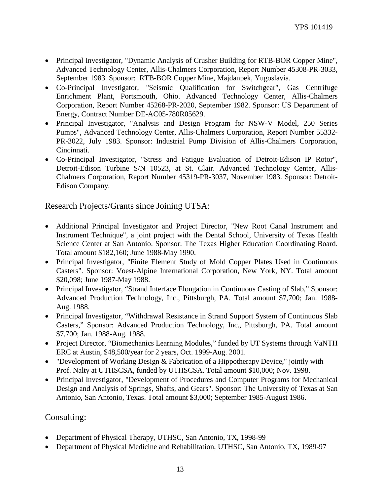- Principal Investigator, "Dynamic Analysis of Crusher Building for RTB-BOR Copper Mine", Advanced Technology Center, Allis-Chalmers Corporation, Report Number 45308-PR-3033, September 1983. Sponsor: RTB-BOR Copper Mine, Majdanpek, Yugoslavia.
- Co-Principal Investigator, "Seismic Qualification for Switchgear", Gas Centrifuge Enrichment Plant, Portsmouth, Ohio. Advanced Technology Center, Allis-Chalmers Corporation, Report Number 45268-PR-2020, September 1982. Sponsor: US Department of Energy, Contract Number DE-AC05-780R05629.
- Principal Investigator, "Analysis and Design Program for NSW-V Model, 250 Series Pumps", Advanced Technology Center, Allis-Chalmers Corporation, Report Number 55332- PR-3022, July 1983. Sponsor: Industrial Pump Division of Allis-Chalmers Corporation, Cincinnati.
- Co-Principal Investigator, "Stress and Fatigue Evaluation of Detroit-Edison IP Rotor", Detroit-Edison Turbine S/N 10523, at St. Clair. Advanced Technology Center, Allis-Chalmers Corporation, Report Number 45319-PR-3037, November 1983. Sponsor: Detroit-Edison Company.

Research Projects/Grants since Joining UTSA:

- Additional Principal Investigator and Project Director, "New Root Canal Instrument and Instrument Technique", a joint project with the Dental School, University of Texas Health Science Center at San Antonio. Sponsor: The Texas Higher Education Coordinating Board. Total amount \$182,160; June 1988-May 1990.
- Principal Investigator, "Finite Element Study of Mold Copper Plates Used in Continuous Casters". Sponsor: Voest-Alpine International Corporation, New York, NY. Total amount \$20,098; June 1987-May 1988.
- Principal Investigator, "Strand Interface Elongation in Continuous Casting of Slab," Sponsor: Advanced Production Technology, Inc., Pittsburgh, PA. Total amount \$7,700; Jan. 1988- Aug. 1988.
- Principal Investigator, "Withdrawal Resistance in Strand Support System of Continuous Slab Casters," Sponsor: Advanced Production Technology, Inc., Pittsburgh, PA. Total amount \$7,700; Jan. 1988-Aug. 1988.
- Project Director, "Biomechanics Learning Modules," funded by UT Systems through VaNTH ERC at Austin, \$48,500/year for 2 years, Oct. 1999-Aug. 2001.
- "Development of Working Design & Fabrication of a Hippotherapy Device," jointly with Prof. Nalty at UTHSCSA, funded by UTHSCSA. Total amount \$10,000; Nov. 1998.
- Principal Investigator, "Development of Procedures and Computer Programs for Mechanical Design and Analysis of Springs, Shafts, and Gears". Sponsor: The University of Texas at San Antonio, San Antonio, Texas. Total amount \$3,000; September 1985-August 1986.

## Consulting:

- Department of Physical Therapy, UTHSC, San Antonio, TX, 1998-99
- Department of Physical Medicine and Rehabilitation, UTHSC, San Antonio, TX, 1989-97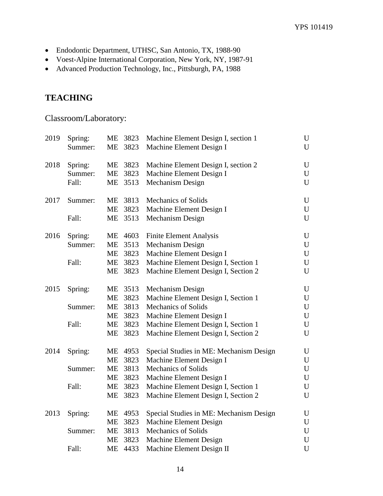- Endodontic Department, UTHSC, San Antonio, TX, 1988-90
- Voest-Alpine International Corporation, New York, NY, 1987-91
- Advanced Production Technology, Inc., Pittsburgh, PA, 1988

# **TEACHING**

Classroom/Laboratory:

| 2019 | Spring: |           | ME 3823 | Machine Element Design I, section 1     | U           |
|------|---------|-----------|---------|-----------------------------------------|-------------|
|      | Summer: | ME        | 3823    | Machine Element Design I                | U           |
| 2018 | Spring: |           | ME 3823 | Machine Element Design I, section 2     | U           |
|      | Summer: | <b>ME</b> | 3823    | Machine Element Design I                | $\mathbf U$ |
|      | Fall:   | ME        | 3513    | Mechanism Design                        | U           |
| 2017 | Summer: | ME        | 3813    | <b>Mechanics of Solids</b>              | $\mathbf U$ |
|      |         |           | ME 3823 | Machine Element Design I                | U           |
|      | Fall:   |           | ME 3513 | Mechanism Design                        | U           |
| 2016 | Spring: |           | ME 4603 | <b>Finite Element Analysis</b>          | U           |
|      | Summer: |           | ME 3513 | Mechanism Design                        | U           |
|      |         |           | ME 3823 | Machine Element Design I                | U           |
|      | Fall:   | ME        | 3823    | Machine Element Design I, Section 1     | U           |
|      |         | ME        | 3823    | Machine Element Design I, Section 2     | U           |
| 2015 | Spring: |           | ME 3513 | Mechanism Design                        | U           |
|      |         | <b>ME</b> | 3823    | Machine Element Design I, Section 1     | U           |
|      | Summer: |           | ME 3813 | Mechanics of Solids                     | U           |
|      |         |           | ME 3823 | Machine Element Design I                | U           |
|      | Fall:   |           | ME 3823 | Machine Element Design I, Section 1     | U           |
|      |         | ME        | 3823    | Machine Element Design I, Section 2     | U           |
| 2014 | Spring: |           | ME 4953 | Special Studies in ME: Mechanism Design | U           |
|      |         | ME        | 3823    | Machine Element Design I                | U           |
|      | Summer: | ME        | 3813    | <b>Mechanics of Solids</b>              | U           |
|      |         | ME        | 3823    | Machine Element Design I                | U           |
|      | Fall:   | ME        | 3823    | Machine Element Design I, Section 1     | U           |
|      |         | ME        | 3823    | Machine Element Design I, Section 2     | U           |
| 2013 | Spring: |           | ME 4953 | Special Studies in ME: Mechanism Design | U           |
|      |         | ME        | 3823    | Machine Element Design                  | U           |
|      | Summer: | ME        | 3813    | <b>Mechanics of Solids</b>              | $\mathbf U$ |
|      |         | ME        | 3823    | Machine Element Design                  | $\mathbf U$ |
|      | Fall:   | <b>ME</b> | 4433    | Machine Element Design II               | $\mathbf U$ |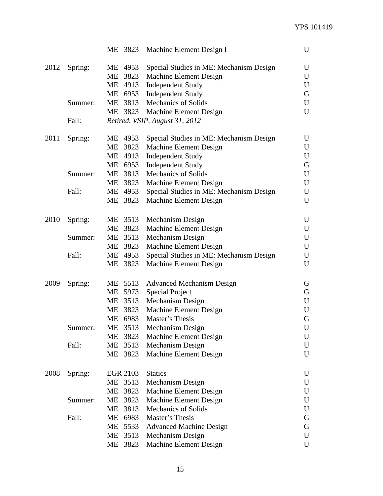|      |         |                 | ME 3823 Machine Element Design I        | U         |
|------|---------|-----------------|-----------------------------------------|-----------|
| 2012 | Spring: | ME 4953         | Special Studies in ME: Mechanism Design | U         |
|      |         | ME<br>3823      | Machine Element Design                  | U         |
|      |         | ME<br>4913      | <b>Independent Study</b>                | U         |
|      |         |                 | ME 6953 Independent Study               | G         |
|      | Summer: |                 | ME 3813 Mechanics of Solids             | U         |
|      |         |                 | ME 3823 Machine Element Design          | U         |
|      | Fall:   |                 | Retired, VSIP, August 31, 2012          |           |
| 2011 | Spring: | ME 4953         | Special Studies in ME: Mechanism Design | U         |
|      |         | 3823<br>ME      | Machine Element Design                  | U         |
|      |         | ME<br>4913      | <b>Independent Study</b>                | U         |
|      |         | ME 6953         | <b>Independent Study</b>                | G         |
|      | Summer: | ME 3813         | <b>Mechanics of Solids</b>              | U         |
|      |         | ME<br>3823      | Machine Element Design                  | U         |
|      | Fall:   | ME 4953         | Special Studies in ME: Mechanism Design | U         |
|      |         | ME<br>3823      | Machine Element Design                  | U         |
| 2010 | Spring: | ME 3513         | Mechanism Design                        | U         |
|      |         | ME 3823         | Machine Element Design                  | U         |
|      | Summer: | ME 3513         | Mechanism Design                        | U         |
|      |         | 3823<br>МE      | Machine Element Design                  | U         |
|      | Fall:   | ME 4953         | Special Studies in ME: Mechanism Design | U         |
|      |         | 3823<br>ME      | Machine Element Design                  | U         |
| 2009 | Spring: | ME 5513         | <b>Advanced Mechanism Design</b>        | G         |
|      |         | ME 5973         | <b>Special Project</b>                  | G         |
|      |         | ME 3513         | Mechanism Design                        | U         |
|      |         | ME 3823         | Machine Element Design                  | U         |
|      |         | ME 6983         | Master's Thesis                         | G         |
|      | Summer: | ME<br>3513      | Mechanism Design                        | ${\bf U}$ |
|      |         | МE<br>3823      | Machine Element Design                  | U         |
|      | Fall:   | ME<br>3513      | Mechanism Design                        | U         |
|      |         | ME 3823         | Machine Element Design                  | U         |
| 2008 | Spring: | <b>EGR 2103</b> | <b>Statics</b>                          | U         |
|      |         | ME<br>3513      | Mechanism Design                        | U         |
|      |         | ME<br>3823      | Machine Element Design                  | U         |
|      | Summer: | ME<br>3823      | Machine Element Design                  | U         |
|      |         | ME<br>3813      | <b>Mechanics of Solids</b>              | U         |
|      | Fall:   | ME<br>6983      | Master's Thesis                         | G         |
|      |         | ME<br>5533      | <b>Advanced Machine Design</b>          | G         |
|      |         | ME<br>3513      | Mechanism Design                        | U         |
|      |         | 3823<br>ME      | Machine Element Design                  | U         |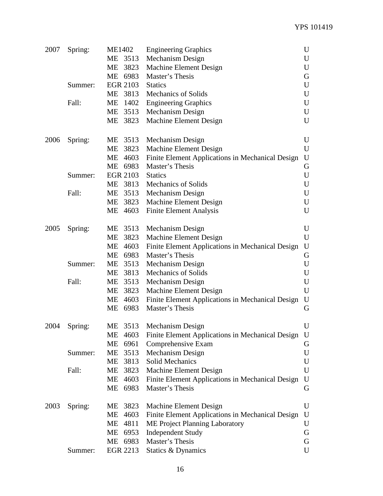| 2007 | Spring: | <b>ME1402</b> | <b>Engineering Graphics</b>                             | U           |
|------|---------|---------------|---------------------------------------------------------|-------------|
|      |         | ME 3513       | Mechanism Design                                        | U           |
|      |         | 3823<br>ME    | <b>Machine Element Design</b>                           | U           |
|      |         | ME 6983       | Master's Thesis                                         | G           |
|      | Summer: | EGR 2103      | <b>Statics</b>                                          | U           |
|      |         | ME 3813       | <b>Mechanics of Solids</b>                              | U           |
|      | Fall:   | МE            | 1402 Engineering Graphics                               | U           |
|      |         |               | ME 3513 Mechanism Design                                | U           |
|      |         | ME 3823       | Machine Element Design                                  | U           |
| 2006 | Spring: | ME 3513       | Mechanism Design                                        | U           |
|      |         | ME<br>3823    | <b>Machine Element Design</b>                           | $\mathbf U$ |
|      |         | ME 4603       | <b>Finite Element Applications in Mechanical Design</b> | U           |
|      |         | ME 6983       | Master's Thesis                                         | G           |
|      | Summer: | EGR 2103      | <b>Statics</b>                                          | $\mathbf U$ |
|      |         |               | ME 3813 Mechanics of Solids                             | $\mathbf U$ |
|      | Fall:   |               | ME 3513 Mechanism Design                                | U           |
|      |         |               | ME 3823 Machine Element Design                          | U           |
|      |         | ME 4603       | <b>Finite Element Analysis</b>                          | U           |
| 2005 | Spring: | ME 3513       | Mechanism Design                                        | U           |
|      |         | 3823<br>ME    | Machine Element Design                                  | U           |
|      |         | ME<br>4603    | Finite Element Applications in Mechanical Design        | $\mathbf U$ |
|      |         | ME 6983       | Master's Thesis                                         | G           |
|      | Summer: | ME 3513       | Mechanism Design                                        | U           |
|      |         | ME<br>3813    | <b>Mechanics of Solids</b>                              | U           |
|      | Fall:   | ME            | 3513 Mechanism Design                                   | U           |
|      |         | МE            | 3823 Machine Element Design                             | U           |
|      |         | ME 4603       | <b>Finite Element Applications in Mechanical Design</b> | U           |
|      |         | ME 6983       | Master's Thesis                                         | G           |
| 2004 | Spring: |               | ME 3513 Mechanism Design                                | U           |
|      |         | 4603<br>МE    | Finite Element Applications in Mechanical Design        | U           |
|      |         | ME<br>6961    | Comprehensive Exam                                      | G           |
|      | Summer: | ME 3513       | Mechanism Design                                        | U           |
|      |         | ME<br>3813    | Solid Mechanics                                         | U           |
|      | Fall:   | МE            | 3823 Machine Element Design                             | U           |
|      |         | 4603<br>ME    | <b>Finite Element Applications in Mechanical Design</b> | U           |
|      |         | 6983<br>МE    | Master's Thesis                                         | G           |
| 2003 | Spring: | ME 3823       | Machine Element Design                                  | U           |
|      |         | 4603<br>МE    | Finite Element Applications in Mechanical Design        | U           |
|      |         | ME 4811       | ME Project Planning Laboratory                          | U           |
|      |         | ME 6953       | <b>Independent Study</b>                                | G           |
|      |         | 6983<br>ME    | Master's Thesis                                         | G           |
|      | Summer: | EGR 2213      | Statics & Dynamics                                      | U           |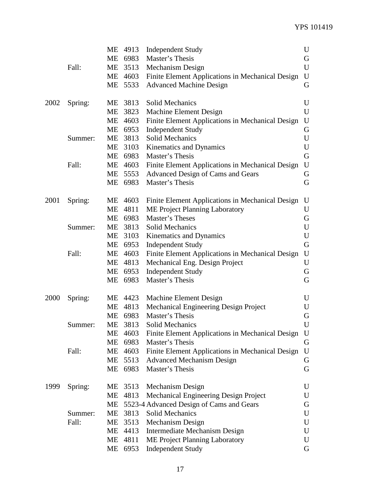|      |         | МE        | 4913    | <b>Independent Study</b>                         | U           |
|------|---------|-----------|---------|--------------------------------------------------|-------------|
|      |         | <b>ME</b> | 6983    | Master's Thesis                                  | G           |
|      | Fall:   | ME        | 3513    | Mechanism Design                                 | U           |
|      |         | ME        | 4603    | Finite Element Applications in Mechanical Design | ${\bf U}$   |
|      |         | ME        | 5533    | <b>Advanced Machine Design</b>                   | G           |
|      |         |           |         |                                                  |             |
| 2002 | Spring: |           | ME 3813 | Solid Mechanics                                  | U           |
|      |         | ME        | 3823    | Machine Element Design                           | U           |
|      |         | ME        | 4603    | Finite Element Applications in Mechanical Design | U           |
|      |         | МE        | 6953    | <b>Independent Study</b>                         | G           |
|      | Summer: | ME        | 3813    | Solid Mechanics                                  | $\mathbf U$ |
|      |         | ME        | 3103    | Kinematics and Dynamics                          | U           |
|      |         | <b>ME</b> | 6983    | Master's Thesis                                  | G           |
|      | Fall:   | ME        | 4603    | Finite Element Applications in Mechanical Design | U           |
|      |         | ME        | 5553    | Advanced Design of Cams and Gears                | G           |
|      |         | ME        | 6983    | Master's Thesis                                  | G           |
| 2001 | Spring: |           | ME 4603 | Finite Element Applications in Mechanical Design | U           |
|      |         | ME        | 4811    | ME Project Planning Laboratory                   | U           |
|      |         | ME        | 6983    | Master's Theses                                  | G           |
|      | Summer: | МE        | 3813    | Solid Mechanics                                  | U           |
|      |         | ME        | 3103    | Kinematics and Dynamics                          | U           |
|      |         | ME        | 6953    | <b>Independent Study</b>                         | G           |
|      | Fall:   | <b>ME</b> | 4603    | Finite Element Applications in Mechanical Design | U           |
|      |         | МE        | 4813    | Mechanical Eng. Design Project                   | U           |
|      |         | МE        | 6953    | <b>Independent Study</b>                         | G           |
|      |         | ME        | 6983    | Master's Thesis                                  | G           |
|      |         |           |         |                                                  |             |
| 2000 | Spring: |           | ME 4423 | Machine Element Design                           | U           |
|      |         | МE        | 4813    | Mechanical Engineering Design Project            | U           |
|      |         | ME        | 6983    | Master's Thesis                                  | G           |
|      | Summer: | МE        | 3813    | Solid Mechanics                                  | U           |
|      |         | МE        | 4603    | Finite Element Applications in Mechanical Design | U           |
|      |         | ME        | 6983    | Master's Thesis                                  | G           |
|      | Fall:   | ME        | 4603    | Finite Element Applications in Mechanical Design | U           |
|      |         | ME        | 5513    | <b>Advanced Mechanism Design</b>                 | G           |
|      |         |           | ME 6983 | Master's Thesis                                  | G           |
| 1999 | Spring: |           | ME 3513 | Mechanism Design                                 | U           |
|      |         | ME        | 4813    | Mechanical Engineering Design Project            | U           |
|      |         | МE        |         | 5523-4 Advanced Design of Cams and Gears         | G           |
|      | Summer: | ME        | 3813    | Solid Mechanics                                  | U           |
|      | Fall:   | ME        | 3513    | Mechanism Design                                 | U           |
|      |         | МE        | 4413    | Intermediate Mechanism Design                    | U           |
|      |         | ME        | 4811    | ME Project Planning Laboratory                   | U           |
|      |         | МE        | 6953    | <b>Independent Study</b>                         | G           |
|      |         |           |         |                                                  |             |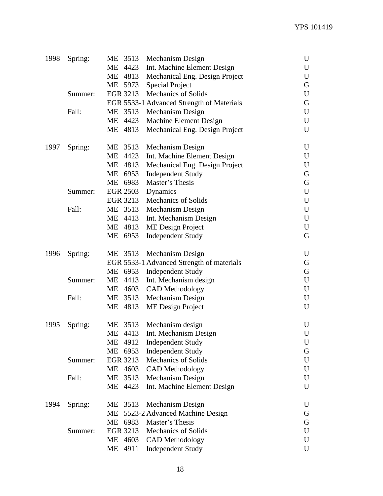| 1998 | Spring: |    | ME 3513  | Mechanism Design                          | U           |
|------|---------|----|----------|-------------------------------------------|-------------|
|      |         | ME | 4423     | Int. Machine Element Design               | U           |
|      |         | ME | 4813     | Mechanical Eng. Design Project            | U           |
|      |         |    | ME 5973  | <b>Special Project</b>                    | G           |
|      | Summer: |    | EGR 3213 | <b>Mechanics of Solids</b>                | U           |
|      |         |    |          | EGR 5533-1 Advanced Strength of Materials | G           |
|      | Fall:   |    | ME 3513  | Mechanism Design                          | U           |
|      |         |    | ME 4423  | Machine Element Design                    | U           |
|      |         | ME | 4813     | Mechanical Eng. Design Project            | $\mathbf U$ |
|      |         |    |          |                                           |             |
| 1997 | Spring: |    | ME 3513  | Mechanism Design                          | U           |
|      |         | ME | 4423     | Int. Machine Element Design               | U           |
|      |         | ME | 4813     | Mechanical Eng. Design Project            | U           |
|      |         | ME | 6953     | <b>Independent Study</b>                  | G           |
|      |         |    | ME 6983  | Master's Thesis                           | G           |
|      | Summer: |    | EGR 2503 | Dynamics                                  | U           |
|      |         |    | EGR 3213 | Mechanics of Solids                       | U           |
|      | Fall:   |    | ME 3513  | Mechanism Design                          | U           |
|      |         |    | ME 4413  | Int. Mechanism Design                     | $\mathbf U$ |
|      |         |    | ME 4813  | ME Design Project                         | $\mathbf U$ |
|      |         |    | ME 6953  | <b>Independent Study</b>                  | G           |
| 1996 | Spring: |    | ME 3513  | Mechanism Design                          | U           |
|      |         |    |          | EGR 5533-1 Advanced Strength of materials | G           |
|      |         |    | ME 6953  | <b>Independent Study</b>                  | G           |
|      | Summer: |    | ME 4413  | Int. Mechanism design                     | U           |
|      |         |    | ME 4603  | <b>CAD</b> Methodology                    | U           |
|      | Fall:   | ME | 3513     | Mechanism Design                          | U           |
|      |         |    | ME 4813  | ME Design Project                         | U           |
| 1995 | Spring: |    | ME 3513  | Mechanism design                          | U           |
|      |         |    |          | ME 4413 Int. Mechanism Design             | U           |
|      |         |    | ME 4912  | <b>Independent Study</b>                  | U           |
|      |         | ME | 6953     | <b>Independent Study</b>                  | G           |
|      | Summer: |    | EGR 3213 | <b>Mechanics of Solids</b>                | U           |
|      |         |    | ME 4603  | <b>CAD</b> Methodology                    | U           |
|      | Fall:   | ME | 3513     | Mechanism Design                          | U           |
|      |         |    | ME 4423  | Int. Machine Element Design               | U           |
|      |         |    |          |                                           |             |
| 1994 | Spring: | ME | 3513     | Mechanism Design                          | U           |
|      |         | МE |          | 5523-2 Advanced Machine Design            | G           |
|      |         | ME | 6983     | Master's Thesis                           | G           |
|      | Summer: |    | EGR 3213 | <b>Mechanics of Solids</b>                | U           |
|      |         |    | ME 4603  | <b>CAD</b> Methodology                    | U           |
|      |         | ME | 4911     | <b>Independent Study</b>                  | $\mathbf U$ |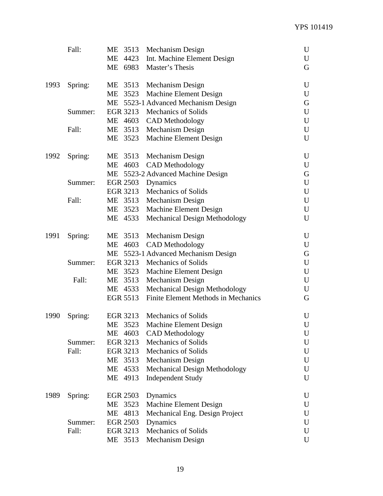|      | Fall:   | MЕ | 3513            | Mechanism Design                     | U           |
|------|---------|----|-----------------|--------------------------------------|-------------|
|      |         |    | ME 4423         | Int. Machine Element Design          | U           |
|      |         |    | ME 6983         | Master's Thesis                      | G           |
| 1993 | Spring: |    | ME 3513         | Mechanism Design                     | U           |
|      |         |    | ME 3523         | Machine Element Design               | U           |
|      |         |    |                 | ME 5523-1 Advanced Mechanism Design  | G           |
|      | Summer: |    |                 | EGR 3213 Mechanics of Solids         | U           |
|      |         |    | ME 4603         | <b>CAD</b> Methodology               | U           |
|      | Fall:   |    | ME 3513         | Mechanism Design                     | U           |
|      |         |    | ME 3523         | Machine Element Design               | U           |
| 1992 | Spring: |    | ME 3513         | Mechanism Design                     | U           |
|      |         |    | ME 4603         | <b>CAD</b> Methodology               | U           |
|      |         |    |                 | ME 5523-2 Advanced Machine Design    | G           |
|      | Summer: |    |                 | EGR 2503 Dynamics                    | U           |
|      |         |    | EGR 3213        | <b>Mechanics of Solids</b>           | U           |
|      | Fall:   |    | ME 3513         | Mechanism Design                     | U           |
|      |         |    | ME 3523         | Machine Element Design               | U           |
|      |         |    | ME 4533         | <b>Mechanical Design Methodology</b> | U           |
| 1991 | Spring: |    | ME 3513         | Mechanism Design                     | U           |
|      |         | ME | 4603            | <b>CAD</b> Methodology               | U           |
|      |         |    |                 | ME 5523-1 Advanced Mechanism Design  | G           |
|      | Summer: |    |                 | EGR 3213 Mechanics of Solids         | U           |
|      |         |    | ME 3523         | Machine Element Design               | $\mathbf U$ |
|      | Fall:   | ME | 3513            | Mechanism Design                     | U           |
|      |         |    | ME 4533         | <b>Mechanical Design Methodology</b> | U           |
|      |         |    | EGR 5513        | Finite Element Methods in Mechanics  | G           |
| 1990 | Spring: |    | EGR 3213        | Mechanics of Solids                  | U           |
|      |         |    |                 | ME 3523 Machine Element Design       | U           |
|      |         |    |                 | ME 4603 CAD Methodology              | U           |
|      | Summer: |    | EGR 3213        | <b>Mechanics of Solids</b>           | U           |
|      | Fall:   |    | EGR 3213        | <b>Mechanics of Solids</b>           | U           |
|      |         |    | ME 3513         | Mechanism Design                     | U           |
|      |         | МE | 4533            | Mechanical Design Methodology        | U           |
|      |         |    | ME 4913         | <b>Independent Study</b>             | U           |
| 1989 | Spring: |    | <b>EGR 2503</b> | Dynamics                             | U           |
|      |         |    | ME 3523         | Machine Element Design               | U           |
|      |         |    | ME 4813         | Mechanical Eng. Design Project       | U           |
|      | Summer: |    | EGR 2503        | Dynamics                             | U           |
|      | Fall:   |    | EGR 3213        | Mechanics of Solids                  | U           |
|      |         |    | ME 3513         | Mechanism Design                     | U           |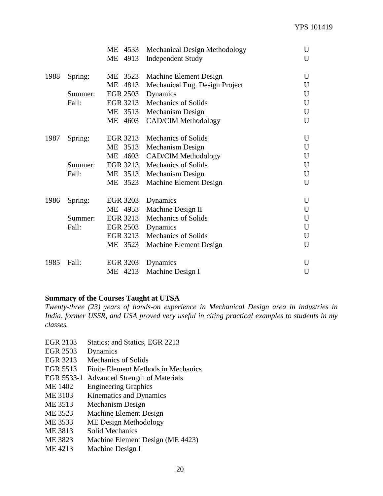|      |         | МE<br>4533 | <b>Mechanical Design Methodology</b> | U           |
|------|---------|------------|--------------------------------------|-------------|
|      |         | ME<br>4913 | <b>Independent Study</b>             | U           |
| 1988 | Spring: | ME<br>3523 | Machine Element Design               | U           |
|      |         | ME<br>4813 | Mechanical Eng. Design Project       | U           |
|      | Summer: | EGR 2503   | Dynamics                             | U           |
|      | Fall:   | EGR 3213   | <b>Mechanics of Solids</b>           | U           |
|      |         | 3513<br>МE | Mechanism Design                     | U           |
|      |         | ME<br>4603 | <b>CAD/CIM Methodology</b>           | U           |
| 1987 | Spring: | EGR 3213   | <b>Mechanics of Solids</b>           | U           |
|      |         | 3513<br>МE | Mechanism Design                     | U           |
|      |         | ME<br>4603 | <b>CAD/CIM Methodology</b>           | $\mathbf U$ |
|      | Summer: | EGR 3213   | <b>Mechanics of Solids</b>           | U           |
|      | Fall:   | ME<br>3513 | Mechanism Design                     | U           |
|      |         | ME<br>3523 | Machine Element Design               | U           |
| 1986 | Spring: | EGR 3203   | Dynamics                             | U           |
|      |         | ME 4953    | Machine Design II                    | U           |
|      | Summer: | EGR 3213   | <b>Mechanics of Solids</b>           | U           |
|      | Fall:   | EGR 2503   | Dynamics                             | U           |
|      |         | EGR 3213   | Mechanics of Solids                  | U           |
|      |         | ME 3523    | Machine Element Design               | U           |
| 1985 | Fall:   | EGR 3203   | Dynamics                             | U           |
|      |         | ME 4213    | Machine Design I                     | U           |

#### **Summary of the Courses Taught at UTSA**

*Twenty-three (23) years of hands-on experience in Mechanical Design area in industries in India, former USSR, and USA proved very useful in citing practical examples to students in my classes.*

- EGR 2103 Statics; and Statics, EGR 2213
- EGR 2503 Dynamics
- EGR 3213 Mechanics of Solids
- EGR 5513 Finite Element Methods in Mechanics
- EGR 5533-1 Advanced Strength of Materials
- ME 1402 Engineering Graphics
- ME 3103 Kinematics and Dynamics
- ME 3513 Mechanism Design
- ME 3523 Machine Element Design
- ME 3533 ME Design Methodology
- ME 3813 Solid Mechanics
- ME 3823 Machine Element Design (ME 4423)
- ME 4213 Machine Design I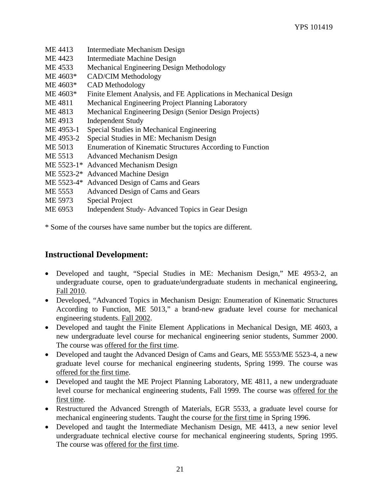| ME 4413    | Intermediate Mechanism Design                                     |
|------------|-------------------------------------------------------------------|
| ME 4423    | Intermediate Machine Design                                       |
| ME 4533    | Mechanical Engineering Design Methodology                         |
| ME 4603*   | <b>CAD/CIM Methodology</b>                                        |
| ME 4603*   | <b>CAD</b> Methodology                                            |
| ME 4603*   | Finite Element Analysis, and FE Applications in Mechanical Design |
| ME4811     | Mechanical Engineering Project Planning Laboratory                |
| ME 4813    | Mechanical Engineering Design (Senior Design Projects)            |
| ME 4913    | <b>Independent Study</b>                                          |
| ME 4953-1  | Special Studies in Mechanical Engineering                         |
| ME 4953-2  | Special Studies in ME: Mechanism Design                           |
| ME 5013    | Enumeration of Kinematic Structures According to Function         |
| ME 5513    | <b>Advanced Mechanism Design</b>                                  |
|            | ME 5523-1* Advanced Mechanism Design                              |
|            | ME 5523-2* Advanced Machine Design                                |
| ME 5523-4* | Advanced Design of Cams and Gears                                 |
| ME 5553    | Advanced Design of Cams and Gears                                 |
| ME 5973    | <b>Special Project</b>                                            |
| ME 6953    | Independent Study-Advanced Topics in Gear Design                  |
|            |                                                                   |

\* Some of the courses have same number but the topics are different.

# **Instructional Development:**

- Developed and taught, "Special Studies in ME: Mechanism Design," ME 4953-2, an undergraduate course, open to graduate/undergraduate students in mechanical engineering, Fall 2010.
- Developed, "Advanced Topics in Mechanism Design: Enumeration of Kinematic Structures According to Function, ME 5013," a brand-new graduate level course for mechanical engineering students. Fall 2002.
- Developed and taught the Finite Element Applications in Mechanical Design, ME 4603, a new undergraduate level course for mechanical engineering senior students, Summer 2000. The course was offered for the first time.
- Developed and taught the Advanced Design of Cams and Gears, ME 5553/ME 5523-4, a new graduate level course for mechanical engineering students, Spring 1999. The course was offered for the first time.
- Developed and taught the ME Project Planning Laboratory, ME 4811, a new undergraduate level course for mechanical engineering students, Fall 1999. The course was offered for the first time.
- Restructured the Advanced Strength of Materials, EGR 5533, a graduate level course for mechanical engineering students. Taught the course for the first time in Spring 1996.
- Developed and taught the Intermediate Mechanism Design, ME 4413, a new senior level undergraduate technical elective course for mechanical engineering students, Spring 1995. The course was offered for the first time.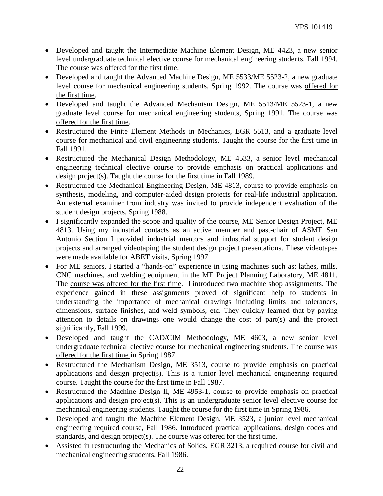- Developed and taught the Intermediate Machine Element Design, ME 4423, a new senior level undergraduate technical elective course for mechanical engineering students, Fall 1994. The course was offered for the first time.
- Developed and taught the Advanced Machine Design, ME 5533/ME 5523-2, a new graduate level course for mechanical engineering students, Spring 1992. The course was offered for the first time.
- Developed and taught the Advanced Mechanism Design, ME 5513/ME 5523-1, a new graduate level course for mechanical engineering students, Spring 1991. The course was offered for the first time.
- Restructured the Finite Element Methods in Mechanics, EGR 5513, and a graduate level course for mechanical and civil engineering students. Taught the course for the first time in Fall 1991.
- Restructured the Mechanical Design Methodology, ME 4533, a senior level mechanical engineering technical elective course to provide emphasis on practical applications and design project(s). Taught the course for the first time in Fall 1989.
- Restructured the Mechanical Engineering Design, ME 4813, course to provide emphasis on synthesis, modeling, and computer-aided design projects for real-life industrial application. An external examiner from industry was invited to provide independent evaluation of the student design projects, Spring 1988.
- I significantly expanded the scope and quality of the course, ME Senior Design Project, ME 4813. Using my industrial contacts as an active member and past-chair of ASME San Antonio Section I provided industrial mentors and industrial support for student design projects and arranged videotaping the student design project presentations. These videotapes were made available for ABET visits, Spring 1997.
- For ME seniors, I started a "hands-on" experience in using machines such as: lathes, mills, CNC machines, and welding equipment in the ME Project Planning Laboratory, ME 4811. The course was offered for the first time. I introduced two machine shop assignments. The experience gained in these assignments proved of significant help to students in understanding the importance of mechanical drawings including limits and tolerances, dimensions, surface finishes, and weld symbols, etc. They quickly learned that by paying attention to details on drawings one would change the cost of part(s) and the project significantly, Fall 1999.
- Developed and taught the CAD/CIM Methodology, ME 4603, a new senior level undergraduate technical elective course for mechanical engineering students. The course was offered for the first time in Spring 1987.
- Restructured the Mechanism Design, ME 3513, course to provide emphasis on practical applications and design project(s). This is a junior level mechanical engineering required course. Taught the course for the first time in Fall 1987.
- Restructured the Machine Design II, ME 4953-1, course to provide emphasis on practical applications and design project(s). This is an undergraduate senior level elective course for mechanical engineering students. Taught the course for the first time in Spring 1986.
- Developed and taught the Machine Element Design, ME 3523, a junior level mechanical engineering required course, Fall 1986. Introduced practical applications, design codes and standards, and design project(s). The course was offered for the first time.
- Assisted in restructuring the Mechanics of Solids, EGR 3213, a required course for civil and mechanical engineering students, Fall 1986.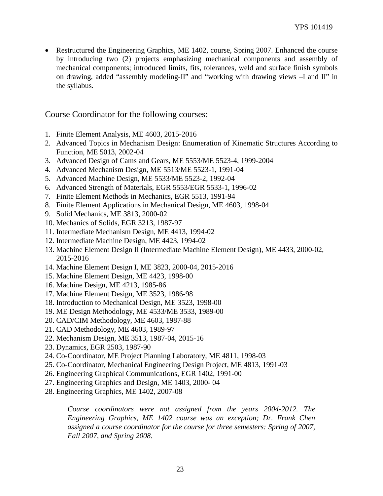• Restructured the Engineering Graphics, ME 1402, course, Spring 2007. Enhanced the course by introducing two (2) projects emphasizing mechanical components and assembly of mechanical components; introduced limits, fits, tolerances, weld and surface finish symbols on drawing, added "assembly modeling-II" and "working with drawing views –I and II" in the syllabus.

#### Course Coordinator for the following courses:

- 1. Finite Element Analysis, ME 4603, 2015-2016
- 2. Advanced Topics in Mechanism Design: Enumeration of Kinematic Structures According to Function, ME 5013, 2002-04
- 3. Advanced Design of Cams and Gears, ME 5553/ME 5523-4, 1999-2004
- 4. Advanced Mechanism Design, ME 5513/ME 5523-1, 1991-04
- 5. Advanced Machine Design, ME 5533/ME 5523-2, 1992-04
- 6. Advanced Strength of Materials, EGR 5553/EGR 5533-1, 1996-02
- 7. Finite Element Methods in Mechanics, EGR 5513, 1991-94
- 8. Finite Element Applications in Mechanical Design, ME 4603, 1998-04
- 9. Solid Mechanics, ME 3813, 2000-02
- 10. Mechanics of Solids, EGR 3213, 1987-97
- 11. Intermediate Mechanism Design, ME 4413, 1994-02
- 12. Intermediate Machine Design, ME 4423, 1994-02
- 13. Machine Element Design II (Intermediate Machine Element Design), ME 4433, 2000-02, 2015-2016
- 14. Machine Element Design I, ME 3823, 2000-04, 2015-2016
- 15. Machine Element Design, ME 4423, 1998-00
- 16. Machine Design, ME 4213, 1985-86
- 17. Machine Element Design, ME 3523, 1986-98
- 18. Introduction to Mechanical Design, ME 3523, 1998-00
- 19. ME Design Methodology, ME 4533/ME 3533, 1989-00
- 20. CAD/CIM Methodology, ME 4603, 1987-88
- 21. CAD Methodology, ME 4603, 1989-97
- 22. Mechanism Design, ME 3513, 1987-04, 2015-16
- 23. Dynamics, EGR 2503, 1987-90
- 24. Co-Coordinator, ME Project Planning Laboratory, ME 4811, 1998-03
- 25. Co-Coordinator, Mechanical Engineering Design Project, ME 4813, 1991-03
- 26. Engineering Graphical Communications, EGR 1402, 1991-00
- 27. Engineering Graphics and Design, ME 1403, 2000- 04
- 28. Engineering Graphics, ME 1402, 2007-08

*Course coordinators were not assigned from the years 2004-2012. The Engineering Graphics, ME 1402 course was an exception; Dr. Frank Chen assigned a course coordinator for the course for three semesters: Spring of 2007, Fall 2007, and Spring 2008.*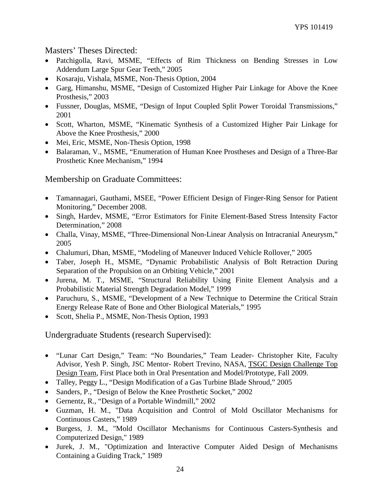#### Masters' Theses Directed:

- Patchigolla, Ravi, MSME, "Effects of Rim Thickness on Bending Stresses in Low Addendum Large Spur Gear Teeth," 2005
- Kosaraju, Vishala, MSME, Non-Thesis Option, 2004
- Garg, Himanshu, MSME, "Design of Customized Higher Pair Linkage for Above the Knee Prosthesis," 2003
- Fussner, Douglas, MSME, "Design of Input Coupled Split Power Toroidal Transmissions," 2001
- Scott, Wharton, MSME, "Kinematic Synthesis of a Customized Higher Pair Linkage for Above the Knee Prosthesis," 2000
- Mei, Eric, MSME, Non-Thesis Option, 1998
- Balaraman, V., MSME, "Enumeration of Human Knee Prostheses and Design of a Three-Bar Prosthetic Knee Mechanism," 1994

## Membership on Graduate Committees:

- Tamannagari, Gauthami, MSEE, "Power Efficient Design of Finger-Ring Sensor for Patient Monitoring," December 2008.
- Singh, Hardev, MSME, "Error Estimators for Finite Element-Based Stress Intensity Factor Determination," 2008
- Challa, Vinay, MSME, "Three-Dimensional Non-Linear Analysis on Intracranial Aneurysm," 2005
- Chalumuri, Dhan, MSME, "Modeling of Maneuver Induced Vehicle Rollover," 2005
- Taber, Joseph H., MSME, "Dynamic Probabilistic Analysis of Bolt Retraction During Separation of the Propulsion on an Orbiting Vehicle," 2001
- Jurena, M. T., MSME, "Structural Reliability Using Finite Element Analysis and a Probabilistic Material Strength Degradation Model," 1999
- Paruchuru, S., MSME, "Development of a New Technique to Determine the Critical Strain Energy Release Rate of Bone and Other Biological Materials," 1995
- Scott, Shelia P., MSME, Non-Thesis Option, 1993

Undergraduate Students (research Supervised):

- "Lunar Cart Design," Team: "No Boundaries," Team Leader- Christopher Kite, Faculty Advisor, Yesh P. Singh, JSC Mentor- Robert Trevino, NASA, TSGC Design Challenge Top Design Team, First Place both in Oral Presentation and Model/Prototype, Fall 2009.
- Talley, Peggy L., "Design Modification of a Gas Turbine Blade Shroud," 2005
- Sanders, P., "Design of Below the Knee Prosthetic Socket," 2002
- Gernentz, R., "Design of a Portable Windmill," 2002
- Guzman, H. M., "Data Acquisition and Control of Mold Oscillator Mechanisms for Continuous Casters," 1989
- Burgess, J. M., "Mold Oscillator Mechanisms for Continuous Casters-Synthesis and Computerized Design," 1989
- Jurek, J. M., "Optimization and Interactive Computer Aided Design of Mechanisms Containing a Guiding Track," 1989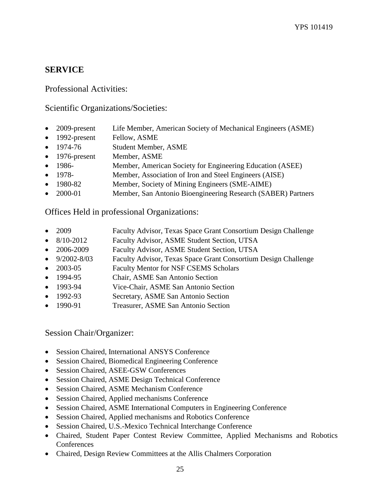# **SERVICE**

Professional Activities:

Scientific Organizations/Societies:

- 2009-present Life Member, American Society of Mechanical Engineers (ASME)
- 1992-present Fellow, ASME
- 1974-76 Student Member, ASME
- 1976-present Member, ASME
- 1986- Member, American Society for Engineering Education (ASEE)
- 1978- Member, Association of Iron and Steel Engineers (AISE)
- 1980-82 Member, Society of Mining Engineers (SME-AIME)
- 2000-01 Member, San Antonio Bioengineering Research (SABER) Partners

Offices Held in professional Organizations:

- 2009 Faculty Advisor, Texas Space Grant Consortium Design Challenge
- 8/10-2012 Faculty Advisor, ASME Student Section, UTSA
- 2006-2009 Faculty Advisor, ASME Student Section, UTSA
- 9/2002-8/03 Faculty Advisor, Texas Space Grant Consortium Design Challenge
- 2003-05 Faculty Mentor for NSF CSEMS Scholars
- 1994-95 Chair, ASME San Antonio Section
- 1993-94 Vice-Chair, ASME San Antonio Section
- 1992-93 Secretary, ASME San Antonio Section
- 1990-91 Treasurer, ASME San Antonio Section

Session Chair/Organizer:

- Session Chaired, International ANSYS Conference
- Session Chaired, Biomedical Engineering Conference
- Session Chaired, ASEE-GSW Conferences
- Session Chaired, ASME Design Technical Conference
- Session Chaired, ASME Mechanism Conference
- Session Chaired, Applied mechanisms Conference
- Session Chaired, ASME International Computers in Engineering Conference
- Session Chaired, Applied mechanisms and Robotics Conference
- Session Chaired, U.S.-Mexico Technical Interchange Conference
- Chaired, Student Paper Contest Review Committee, Applied Mechanisms and Robotics **Conferences**
- Chaired, Design Review Committees at the Allis Chalmers Corporation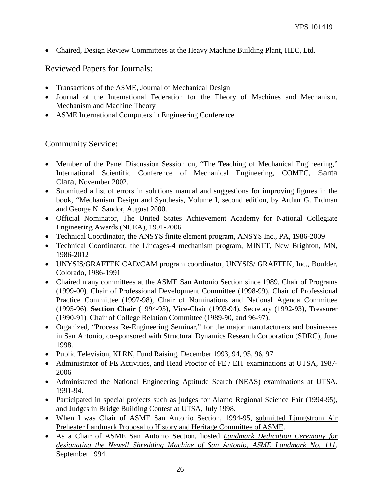• Chaired, Design Review Committees at the Heavy Machine Building Plant, HEC, Ltd.

## Reviewed Papers for Journals:

- Transactions of the ASME, Journal of Mechanical Design
- Journal of the International Federation for the Theory of Machines and Mechanism, Mechanism and Machine Theory
- ASME International Computers in Engineering Conference

Community Service:

- Member of the Panel Discussion Session on, "The Teaching of Mechanical Engineering," International Scientific Conference of Mechanical Engineering, COMEC, Santa Clara, November 2002.
- Submitted a list of errors in solutions manual and suggestions for improving figures in the book, "Mechanism Design and Synthesis, Volume I, second edition, by Arthur G. Erdman and George N. Sandor, August 2000.
- Official Nominator, The United States Achievement Academy for National Collegiate Engineering Awards (NCEA), 1991-2006
- Technical Coordinator, the ANSYS finite element program, ANSYS Inc., PA, 1986-2009
- Technical Coordinator, the Lincages-4 mechanism program, MINTT, New Brighton, MN, 1986-2012
- UNYSIS/GRAFTEK CAD/CAM program coordinator, UNYSIS/ GRAFTEK, Inc., Boulder, Colorado, 1986-1991
- Chaired many committees at the ASME San Antonio Section since 1989. Chair of Programs (1999-00), Chair of Professional Development Committee (1998-99), Chair of Professional Practice Committee (1997-98), Chair of Nominations and National Agenda Committee (1995-96), **Section Chair** (1994-95), Vice-Chair (1993-94), Secretary (1992-93), Treasurer (1990-91), Chair of College Relation Committee (1989-90, and 96-97).
- Organized, "Process Re-Engineering Seminar," for the major manufacturers and businesses in San Antonio, co-sponsored with Structural Dynamics Research Corporation (SDRC), June 1998.
- Public Television, KLRN, Fund Raising, December 1993, 94, 95, 96, 97
- Administrator of FE Activities, and Head Proctor of FE / EIT examinations at UTSA, 1987- 2006
- Administered the National Engineering Aptitude Search (NEAS) examinations at UTSA. 1991-94.
- Participated in special projects such as judges for Alamo Regional Science Fair (1994-95), and Judges in Bridge Building Contest at UTSA, July 1998.
- When I was Chair of ASME San Antonio Section, 1994-95, submitted Ljungstrom Air Preheater Landmark Proposal to History and Heritage Committee of ASME.
- As a Chair of ASME San Antonio Section, hosted *Landmark Dedication Ceremony for designating the Newell Shredding Machine of San Antonio, ASME Landmark No. 111*, September 1994.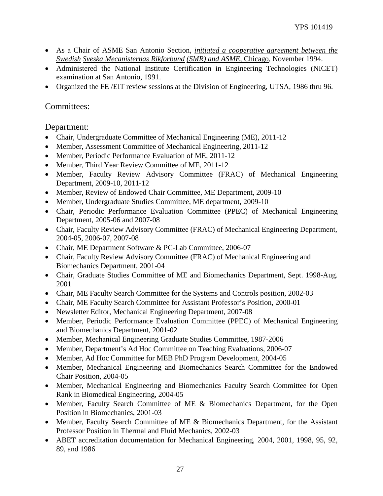- As a Chair of ASME San Antonio Section, *initiated a cooperative agreement between the Swedish Sveska Mecanisternas Rikforbund (SMR) and ASME*, Chicago, November 1994.
- Administered the National Institute Certification in Engineering Technologies (NICET) examination at San Antonio, 1991.
- Organized the FE /EIT review sessions at the Division of Engineering, UTSA, 1986 thru 96.

## Committees:

Department:

- Chair, Undergraduate Committee of Mechanical Engineering (ME), 2011-12
- Member, Assessment Committee of Mechanical Engineering, 2011-12
- Member, Periodic Performance Evaluation of ME, 2011-12
- Member, Third Year Review Committee of ME, 2011-12
- Member, Faculty Review Advisory Committee (FRAC) of Mechanical Engineering Department, 2009-10, 2011-12
- Member, Review of Endowed Chair Committee, ME Department, 2009-10
- Member, Undergraduate Studies Committee, ME department, 2009-10
- Chair, Periodic Performance Evaluation Committee (PPEC) of Mechanical Engineering Department, 2005-06 and 2007-08
- Chair, Faculty Review Advisory Committee (FRAC) of Mechanical Engineering Department, 2004-05, 2006-07, 2007-08
- Chair, ME Department Software & PC-Lab Committee, 2006-07
- Chair, Faculty Review Advisory Committee (FRAC) of Mechanical Engineering and Biomechanics Department, 2001-04
- Chair, Graduate Studies Committee of ME and Biomechanics Department, Sept. 1998-Aug. 2001
- Chair, ME Faculty Search Committee for the Systems and Controls position, 2002-03
- Chair, ME Faculty Search Committee for Assistant Professor's Position, 2000-01
- Newsletter Editor, Mechanical Engineering Department, 2007-08
- Member, Periodic Performance Evaluation Committee (PPEC) of Mechanical Engineering and Biomechanics Department, 2001-02
- Member, Mechanical Engineering Graduate Studies Committee, 1987-2006
- Member, Department's Ad Hoc Committee on Teaching Evaluations, 2006-07
- Member, Ad Hoc Committee for MEB PhD Program Development, 2004-05
- Member, Mechanical Engineering and Biomechanics Search Committee for the Endowed Chair Position, 2004-05
- Member, Mechanical Engineering and Biomechanics Faculty Search Committee for Open Rank in Biomedical Engineering, 2004-05
- Member, Faculty Search Committee of ME & Biomechanics Department, for the Open Position in Biomechanics, 2001-03
- Member, Faculty Search Committee of ME & Biomechanics Department, for the Assistant Professor Position in Thermal and Fluid Mechanics, 2002-03
- ABET accreditation documentation for Mechanical Engineering, 2004, 2001, 1998, 95, 92, 89, and 1986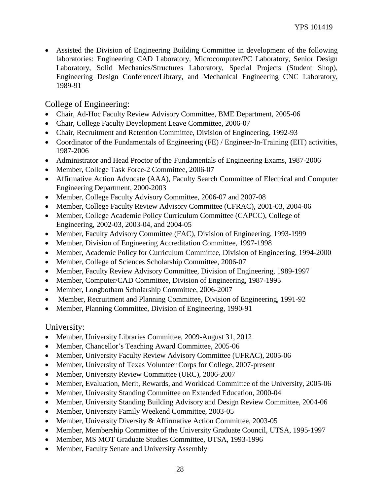• Assisted the Division of Engineering Building Committee in development of the following laboratories: Engineering CAD Laboratory, Microcomputer/PC Laboratory, Senior Design Laboratory, Solid Mechanics/Structures Laboratory, Special Projects (Student Shop), Engineering Design Conference/Library, and Mechanical Engineering CNC Laboratory, 1989-91

College of Engineering:

- Chair, Ad-Hoc Faculty Review Advisory Committee, BME Department, 2005-06
- Chair, College Faculty Development Leave Committee, 2006-07
- Chair, Recruitment and Retention Committee, Division of Engineering, 1992-93
- Coordinator of the Fundamentals of Engineering (FE) / Engineer-In-Training (EIT) activities, 1987-2006
- Administrator and Head Proctor of the Fundamentals of Engineering Exams, 1987-2006
- Member, College Task Force-2 Committee, 2006-07
- Affirmative Action Advocate (AAA), Faculty Search Committee of Electrical and Computer Engineering Department, 2000-2003
- Member, College Faculty Advisory Committee, 2006-07 and 2007-08
- Member, College Faculty Review Advisory Committee (CFRAC), 2001-03, 2004-06
- Member, College Academic Policy Curriculum Committee (CAPCC), College of Engineering, 2002-03, 2003-04, and 2004-05
- Member, Faculty Advisory Committee (FAC), Division of Engineering, 1993-1999
- Member, Division of Engineering Accreditation Committee, 1997-1998
- Member, Academic Policy for Curriculum Committee, Division of Engineering, 1994-2000
- Member, College of Sciences Scholarship Committee, 2006-07
- Member, Faculty Review Advisory Committee, Division of Engineering, 1989-1997
- Member, Computer/CAD Committee, Division of Engineering, 1987-1995
- Member, Longbotham Scholarship Committee, 2006-2007
- Member, Recruitment and Planning Committee, Division of Engineering, 1991-92
- Member, Planning Committee, Division of Engineering, 1990-91

University:

- Member, University Libraries Committee, 2009-August 31, 2012
- Member, Chancellor's Teaching Award Committee, 2005-06
- Member, University Faculty Review Advisory Committee (UFRAC), 2005-06
- Member, University of Texas Volunteer Corps for College, 2007-present
- Member, University Review Committee (URC), 2006-2007
- Member, Evaluation, Merit, Rewards, and Workload Committee of the University, 2005-06
- Member, University Standing Committee on Extended Education, 2000-04
- Member, University Standing Building Advisory and Design Review Committee, 2004-06
- Member, University Family Weekend Committee, 2003-05
- Member, University Diversity & Affirmative Action Committee, 2003-05
- Member, Membership Committee of the University Graduate Council, UTSA, 1995-1997
- Member, MS MOT Graduate Studies Committee, UTSA, 1993-1996
- Member, Faculty Senate and University Assembly